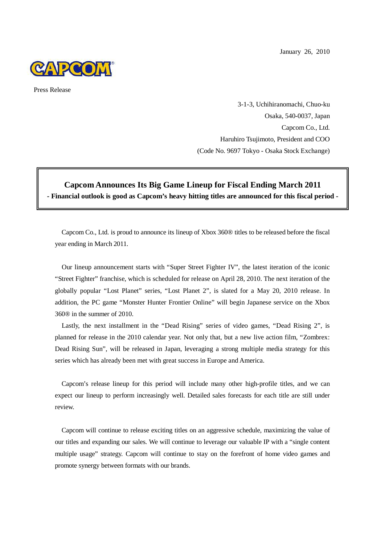January 26, 2010



Press Release

3-1-3, Uchihiranomachi, Chuo-ku Osaka, 540-0037, Japan Capcom Co., Ltd. Haruhiro Tsujimoto, President and COO (Code No. 9697 Tokyo - Osaka Stock Exchange)

# **Capcom Announces Its Big Game Lineup for Fiscal Ending March 2011 - Financial outlook is good as Capcom's heavy hitting titles are announced for this fiscal period -**

Capcom Co., Ltd. is proud to announce its lineup of Xbox 360® titles to be released before the fiscal year ending in March 2011.

Our lineup announcement starts with "Super Street Fighter IV", the latest iteration of the iconic "Street Fighter" franchise, which is scheduled for release on April 28, 2010. The next iteration of the globally popular "Lost Planet" series, "Lost Planet 2", is slated for a May 20, 2010 release. In addition, the PC game "Monster Hunter Frontier Online" will begin Japanese service on the Xbox 360® in the summer of 2010.

Lastly, the next installment in the "Dead Rising" series of video games, "Dead Rising 2", is planned for release in the 2010 calendar year. Not only that, but a new live action film, "Zombrex: Dead Rising Sun", will be released in Japan, leveraging a strong multiple media strategy for this series which has already been met with great success in Europe and America.

Capcom's release lineup for this period will include many other high-profile titles, and we can expect our lineup to perform increasingly well. Detailed sales forecasts for each title are still under review.

Capcom will continue to release exciting titles on an aggressive schedule, maximizing the value of our titles and expanding our sales. We will continue to leverage our valuable IP with a "single content multiple usage" strategy. Capcom will continue to stay on the forefront of home video games and promote synergy between formats with our brands.